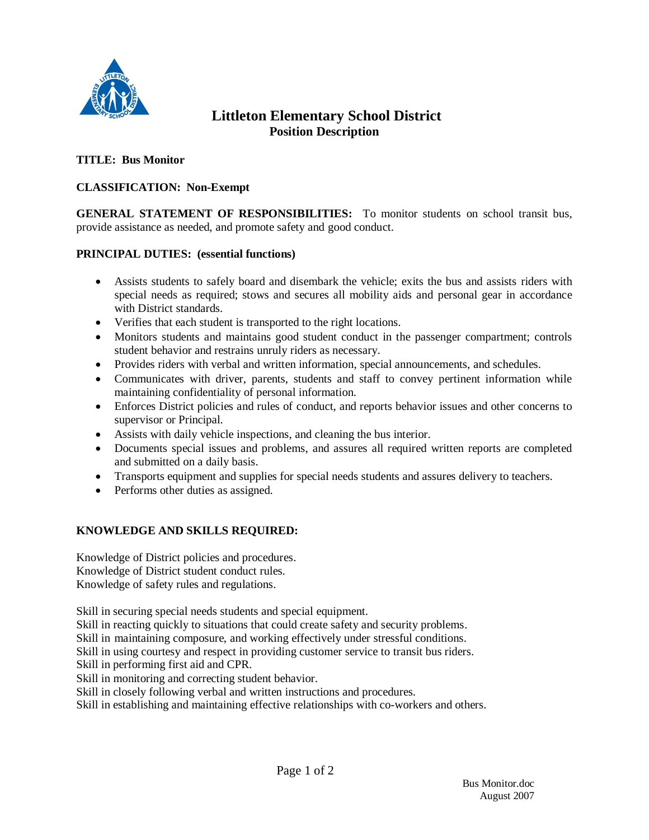

# **Littleton Elementary School District Position Description**

## **TITLE: Bus Monitor**

## **CLASSIFICATION: Non-Exempt**

**GENERAL STATEMENT OF RESPONSIBILITIES:** To monitor students on school transit bus, provide assistance as needed, and promote safety and good conduct.

### **PRINCIPAL DUTIES: (essential functions)**

- Assists students to safely board and disembark the vehicle; exits the bus and assists riders with special needs as required; stows and secures all mobility aids and personal gear in accordance with District standards.
- Verifies that each student is transported to the right locations.
- Monitors students and maintains good student conduct in the passenger compartment; controls student behavior and restrains unruly riders as necessary.
- Provides riders with verbal and written information, special announcements, and schedules.
- Communicates with driver, parents, students and staff to convey pertinent information while maintaining confidentiality of personal information.
- Enforces District policies and rules of conduct, and reports behavior issues and other concerns to supervisor or Principal.
- Assists with daily vehicle inspections, and cleaning the bus interior.
- Documents special issues and problems, and assures all required written reports are completed and submitted on a daily basis.
- Transports equipment and supplies for special needs students and assures delivery to teachers.
- Performs other duties as assigned.

### **KNOWLEDGE AND SKILLS REQUIRED:**

Knowledge of District policies and procedures. Knowledge of District student conduct rules. Knowledge of safety rules and regulations.

Skill in securing special needs students and special equipment.

Skill in reacting quickly to situations that could create safety and security problems.

Skill in maintaining composure, and working effectively under stressful conditions.

Skill in using courtesy and respect in providing customer service to transit bus riders.

Skill in performing first aid and CPR.

Skill in monitoring and correcting student behavior.

Skill in closely following verbal and written instructions and procedures.

Skill in establishing and maintaining effective relationships with co-workers and others.